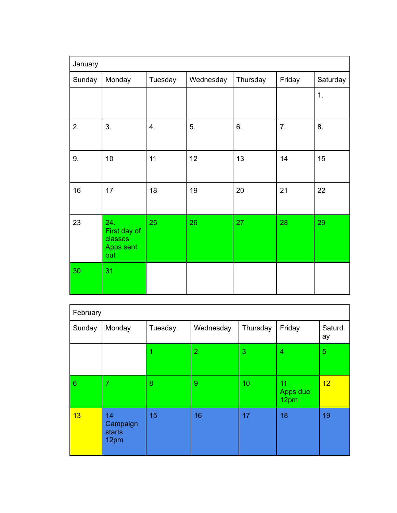| January |                                                    |         |           |          |        |          |  |
|---------|----------------------------------------------------|---------|-----------|----------|--------|----------|--|
| Sunday  | Monday                                             | Tuesday | Wednesday | Thursday | Friday | Saturday |  |
|         |                                                    |         |           |          |        | 1.       |  |
| 2.      | 3.                                                 | 4.      | 5.        | 6.       | 7.     | 8.       |  |
| 9.      | 10                                                 | 11      | 12        | 13       | 14     | 15       |  |
| 16      | 17                                                 | 18      | 19        | 20       | 21     | 22       |  |
| 23      | 24.<br>First day of<br>classes<br>Apps sent<br>out | 25      | 26        | 27       | 28     | 29       |  |
| 30      | 31                                                 |         |           |          |        |          |  |

| February       |                                  |         |                |          |                        |                |  |
|----------------|----------------------------------|---------|----------------|----------|------------------------|----------------|--|
| Sunday         | Monday                           | Tuesday | Wednesday      | Thursday | Friday                 | Saturd<br>ay   |  |
|                |                                  |         | $\overline{2}$ | 3        | 4                      | $\overline{5}$ |  |
| $6\phantom{1}$ | $\overline{7}$                   | 8       | 9              | 10       | 11<br>Apps due<br>12pm | 12             |  |
| 13             | 14<br>Campaign<br>starts<br>12pm | 15      | 16             | 17       | 18                     | 19             |  |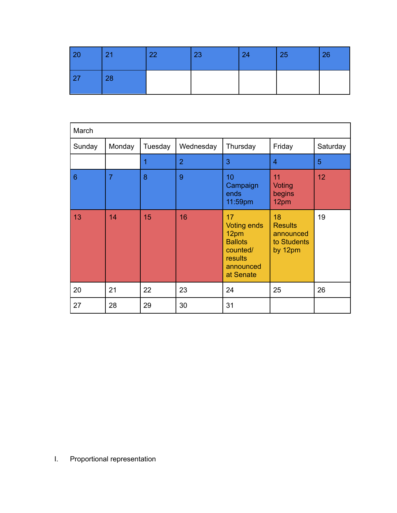| 20 | 21 | 22 | 23 | 24 | 25 | 26 |
|----|----|----|----|----|----|----|
| 27 | 28 |    |    |    |    |    |

| March          |                |         |                |                                                                                                     |                                                             |          |  |
|----------------|----------------|---------|----------------|-----------------------------------------------------------------------------------------------------|-------------------------------------------------------------|----------|--|
| Sunday         | Monday         | Tuesday | Wednesday      | Thursday                                                                                            | Friday                                                      | Saturday |  |
|                |                | 1       | $\overline{2}$ | 3                                                                                                   | 4                                                           | 5        |  |
| $6\phantom{1}$ | $\overline{7}$ | 8       | 9              | 10<br>Campaign<br>ends<br>11:59pm                                                                   | 11<br><b>Voting</b><br>begins<br>12pm                       | 12       |  |
| 13             | 14             | 15      | 16             | 17<br><b>Voting ends</b><br>12pm<br><b>Ballots</b><br>counted/<br>results<br>announced<br>at Senate | 18<br><b>Results</b><br>announced<br>to Students<br>by 12pm | 19       |  |
| 20             | 21             | 22      | 23             | 24                                                                                                  | 25                                                          | 26       |  |
| 27             | 28             | 29      | 30             | 31                                                                                                  |                                                             |          |  |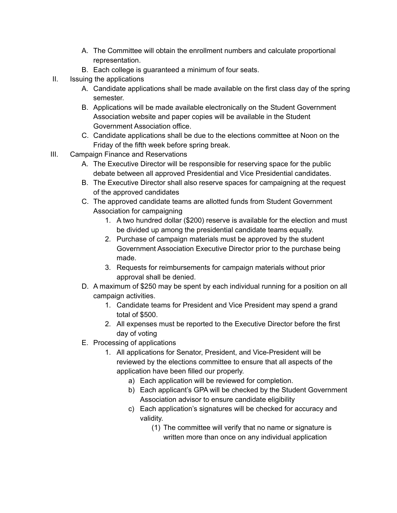- A. The Committee will obtain the enrollment numbers and calculate proportional representation.
- B. Each college is guaranteed a minimum of four seats.
- II. Issuing the applications
	- A. Candidate applications shall be made available on the first class day of the spring semester.
	- B. Applications will be made available electronically on the Student Government Association website and paper copies will be available in the Student Government Association office.
	- C. Candidate applications shall be due to the elections committee at Noon on the Friday of the fifth week before spring break.
- III. Campaign Finance and Reservations
	- A. The Executive Director will be responsible for reserving space for the public debate between all approved Presidential and Vice Presidential candidates.
	- B. The Executive Director shall also reserve spaces for campaigning at the request of the approved candidates
	- C. The approved candidate teams are allotted funds from Student Government Association for campaigning
		- 1. A two hundred dollar (\$200) reserve is available for the election and must be divided up among the presidential candidate teams equally.
		- 2. Purchase of campaign materials must be approved by the student Government Association Executive Director prior to the purchase being made.
		- 3. Requests for reimbursements for campaign materials without prior approval shall be denied.
	- D. A maximum of \$250 may be spent by each individual running for a position on all campaign activities.
		- 1. Candidate teams for President and Vice President may spend a grand total of \$500.
		- 2. All expenses must be reported to the Executive Director before the first day of voting
	- E. Processing of applications
		- 1. All applications for Senator, President, and Vice-President will be reviewed by the elections committee to ensure that all aspects of the application have been filled our properly.
			- a) Each application will be reviewed for completion.
			- b) Each applicant's GPA will be checked by the Student Government Association advisor to ensure candidate eligibility
			- c) Each application's signatures will be checked for accuracy and validity.
				- (1) The committee will verify that no name or signature is written more than once on any individual application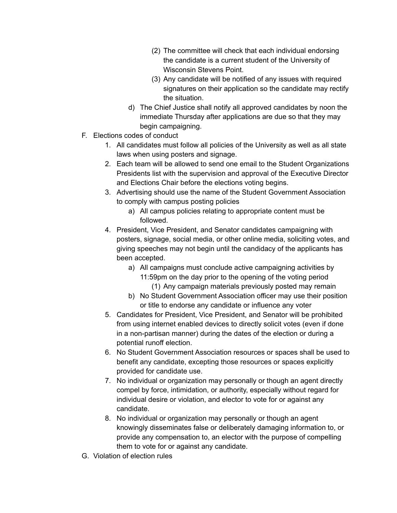- (2) The committee will check that each individual endorsing the candidate is a current student of the University of Wisconsin Stevens Point.
- (3) Any candidate will be notified of any issues with required signatures on their application so the candidate may rectify the situation.
- d) The Chief Justice shall notify all approved candidates by noon the immediate Thursday after applications are due so that they may begin campaigning.
- F. Elections codes of conduct
	- 1. All candidates must follow all policies of the University as well as all state laws when using posters and signage.
	- 2. Each team will be allowed to send one email to the Student Organizations Presidents list with the supervision and approval of the Executive Director and Elections Chair before the elections voting begins.
	- 3. Advertising should use the name of the Student Government Association to comply with campus posting policies
		- a) All campus policies relating to appropriate content must be followed.
	- 4. President, Vice President, and Senator candidates campaigning with posters, signage, social media, or other online media, soliciting votes, and giving speeches may not begin until the candidacy of the applicants has been accepted.
		- a) All campaigns must conclude active campaigning activities by 11:59pm on the day prior to the opening of the voting period
			- (1) Any campaign materials previously posted may remain
		- b) No Student Government Association officer may use their position or title to endorse any candidate or influence any voter
	- 5. Candidates for President, Vice President, and Senator will be prohibited from using internet enabled devices to directly solicit votes (even if done in a non-partisan manner) during the dates of the election or during a potential runoff election.
	- 6. No Student Government Association resources or spaces shall be used to benefit any candidate, excepting those resources or spaces explicitly provided for candidate use.
	- 7. No individual or organization may personally or though an agent directly compel by force, intimidation, or authority, especially without regard for individual desire or violation, and elector to vote for or against any candidate.
	- 8. No individual or organization may personally or though an agent knowingly disseminates false or deliberately damaging information to, or provide any compensation to, an elector with the purpose of compelling them to vote for or against any candidate.
- G. Violation of election rules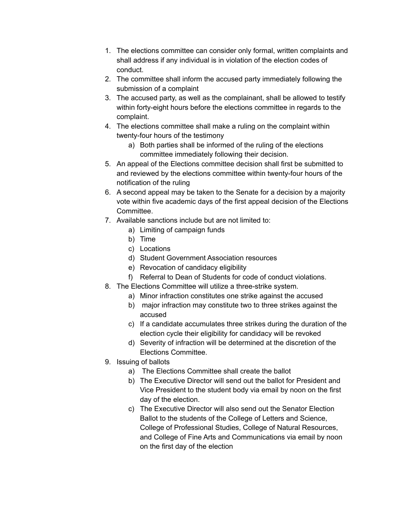- 1. The elections committee can consider only formal, written complaints and shall address if any individual is in violation of the election codes of conduct.
- 2. The committee shall inform the accused party immediately following the submission of a complaint
- 3. The accused party, as well as the complainant, shall be allowed to testify within forty-eight hours before the elections committee in regards to the complaint.
- 4. The elections committee shall make a ruling on the complaint within twenty-four hours of the testimony
	- a) Both parties shall be informed of the ruling of the elections committee immediately following their decision.
- 5. An appeal of the Elections committee decision shall first be submitted to and reviewed by the elections committee within twenty-four hours of the notification of the ruling
- 6. A second appeal may be taken to the Senate for a decision by a majority vote within five academic days of the first appeal decision of the Elections **Committee.**
- 7. Available sanctions include but are not limited to:
	- a) Limiting of campaign funds
	- b) Time
	- c) Locations
	- d) Student Government Association resources
	- e) Revocation of candidacy eligibility
	- f) Referral to Dean of Students for code of conduct violations.
- 8. The Elections Committee will utilize a three-strike system.
	- a) Minor infraction constitutes one strike against the accused
	- b) major infraction may constitute two to three strikes against the accused
	- c) If a candidate accumulates three strikes during the duration of the election cycle their eligibility for candidacy will be revoked
	- d) Severity of infraction will be determined at the discretion of the Elections Committee.
- 9. Issuing of ballots
	- a) The Elections Committee shall create the ballot
	- b) The Executive Director will send out the ballot for President and Vice President to the student body via email by noon on the first day of the election.
	- c) The Executive Director will also send out the Senator Election Ballot to the students of the College of Letters and Science, College of Professional Studies, College of Natural Resources, and College of Fine Arts and Communications via email by noon on the first day of the election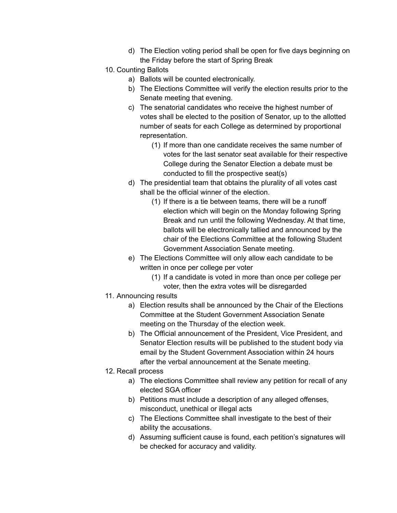- d) The Election voting period shall be open for five days beginning on the Friday before the start of Spring Break
- 10. Counting Ballots
	- a) Ballots will be counted electronically.
	- b) The Elections Committee will verify the election results prior to the Senate meeting that evening.
	- c) The senatorial candidates who receive the highest number of votes shall be elected to the position of Senator, up to the allotted number of seats for each College as determined by proportional representation.
		- (1) If more than one candidate receives the same number of votes for the last senator seat available for their respective College during the Senator Election a debate must be conducted to fill the prospective seat(s)
	- d) The presidential team that obtains the plurality of all votes cast shall be the official winner of the election.
		- (1) If there is a tie between teams, there will be a runoff election which will begin on the Monday following Spring Break and run until the following Wednesday. At that time, ballots will be electronically tallied and announced by the chair of the Elections Committee at the following Student Government Association Senate meeting.
	- e) The Elections Committee will only allow each candidate to be written in once per college per voter
		- (1) If a candidate is voted in more than once per college per voter, then the extra votes will be disregarded
- 11. Announcing results
	- a) Election results shall be announced by the Chair of the Elections Committee at the Student Government Association Senate meeting on the Thursday of the election week.
	- b) The Official announcement of the President, Vice President, and Senator Election results will be published to the student body via email by the Student Government Association within 24 hours after the verbal announcement at the Senate meeting.
- 12. Recall process
	- a) The elections Committee shall review any petition for recall of any elected SGA officer
	- b) Petitions must include a description of any alleged offenses, misconduct, unethical or illegal acts
	- c) The Elections Committee shall investigate to the best of their ability the accusations.
	- d) Assuming sufficient cause is found, each petition's signatures will be checked for accuracy and validity.